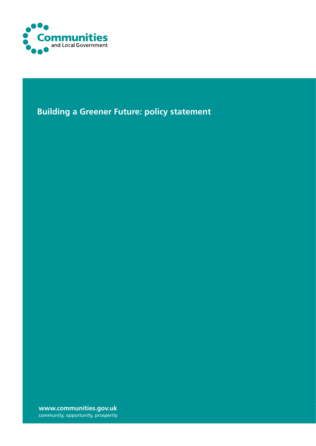

**Building a Greener Future: policy statement**

**www.communities.gov.uk** community, opportunity, prosperity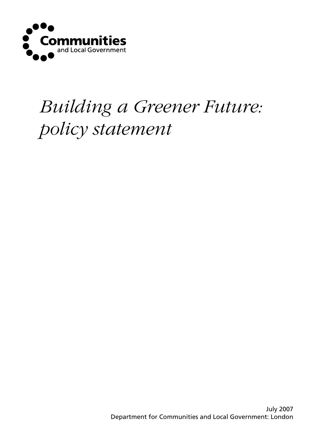

# *Building a Greener Future: policy statement*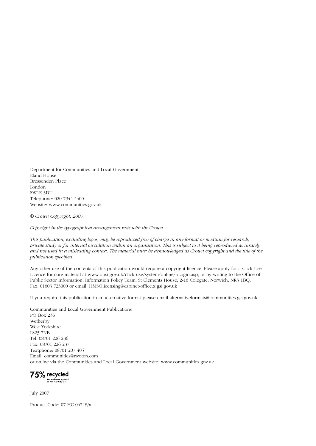Department for Communities and Local Government Eland House Bressenden Place London SW1E 5DU Telephone: 020 7944 4400 Website: www.communities.gov.uk

*© Crown Copyright, 2007*

*Copyright in the typographical arrangement rests with the Crown.*

*This publication, excluding logos, may be reproduced free of charge in any format or medium for research, private study or for internal circulation within an organisation. This is subject to it being reproduced accurately and not used in a misleading context. The material must be acknowledged as Crown copyright and the title of the publication specified.*

Any other use of the contents of this publication would require a copyright licence. Please apply for a Click-Use Licence for core material at www.opsi.gov.uk/click-use/system/online/pLogin.asp, or by writing to the Office of Public Sector Information, Information Policy Team, St Clements House, 2-16 Colegate, Norwich, NR3 1BQ. Fax: 01603 723000 or email: HMSOlicensing@cabinet-office.x.gsi.gov.uk

If you require this publication in an alternative format please email alternativeformats@communities.gsi.gov.uk

Communities and Local Government Publications PO Box 236 Wetherby West Yorkshire LS23 7NB Tel: 08701 226 236 Fax: 08701 226 237 Textphone: 08701 207 405 Email: communities@twoten.com or online via the Communities and Local Government website: www.communities.gov.uk

75% recycled This publication is printed<br>on 75% recycled paper

July 2007

Product Code: 07 HC 04748/a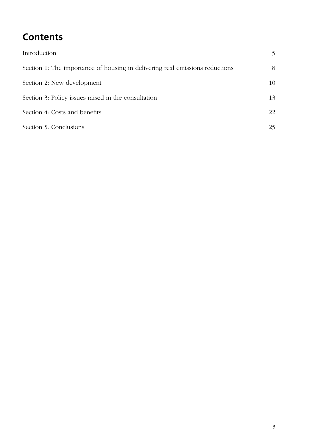## **Contents**

| Introduction                                                                 | 5  |
|------------------------------------------------------------------------------|----|
| Section 1: The importance of housing in delivering real emissions reductions | 8  |
| Section 2: New development                                                   | 10 |
| Section 3: Policy issues raised in the consultation                          | 13 |
| Section 4: Costs and benefits                                                | 22 |
| Section 5: Conclusions                                                       | 25 |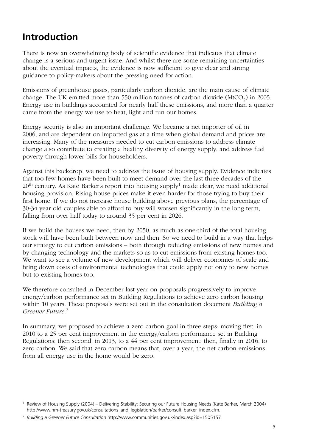### <span id="page-4-0"></span>**Introduction**

There is now an overwhelming body of scientific evidence that indicates that climate change is a serious and urgent issue. And whilst there are some remaining uncertainties about the eventual impacts, the evidence is now sufficient to give clear and strong guidance to policy-makers about the pressing need for action.

Emissions of greenhouse gases, particularly carbon dioxide, are the main cause of climate change. The UK emitted more than 550 million tonnes of carbon dioxide (MtCO<sub>2</sub>) in 2005. Energy use in buildings accounted for nearly half these emissions, and more than a quarter came from the energy we use to heat, light and run our homes.

Energy security is also an important challenge. We became a net importer of oil in 2006, and are dependent on imported gas at a time when global demand and prices are increasing. Many of the measures needed to cut carbon emissions to address climate change also contribute to creating a healthy diversity of energy supply, and address fuel poverty through lower bills for householders.

Against this backdrop, we need to address the issue of housing supply. Evidence indicates that too few homes have been built to meet demand over the last three decades of the  $20<sup>th</sup>$  century. As Kate Barker's report into housing supply<sup>1</sup> made clear, we need additional housing provision. Rising house prices make it even harder for those trying to buy their first home. If we do not increase house building above previous plans, the percentage of 30-34 year old couples able to afford to buy will worsen significantly in the long term, falling from over half today to around 35 per cent in 2026.

If we build the houses we need, then by 2050, as much as one-third of the total housing stock will have been built between now and then. So we need to build in a way that helps our strategy to cut carbon emissions – both through reducing emissions of new homes and by changing technology and the markets so as to cut emissions from existing homes too. We want to see a volume of new development which will deliver economies of scale and bring down costs of environmental technologies that could apply not only to new homes but to existing homes too.

We therefore consulted in December last year on proposals progressively to improve energy/carbon performance set in Building Regulations to achieve zero carbon housing within 10 years. These proposals were set out in the consultation document *Building a Greener Future*. 2

In summary, we proposed to achieve a zero carbon goal in three steps: moving first, in 2010 to a 25 per cent improvement in the energy/carbon performance set in Building Regulations; then second, in 2013, to a 44 per cent improvement; then, finally in 2016, to zero carbon. We said that zero carbon means that, over a year, the net carbon emissions from all energy use in the home would be zero.

<sup>&</sup>lt;sup>1</sup> Review of Housing Supply (2004) – Delivering Stability: Securing our Future Housing Needs (Kate Barker, March 2004) http://www.hm-treasury.gov.uk/consultations\_and\_legislation/barker/consult\_barker\_index.cfm.

*Building a Greener Future Consultation* http://www.communities.gov.uk/index.asp?id=1505157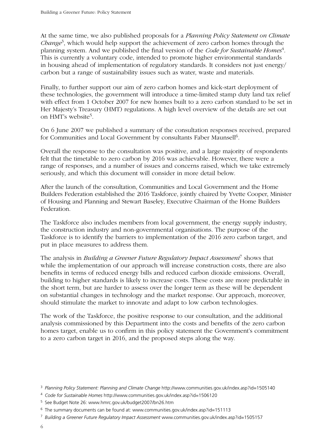At the same time, we also published proposals for a *Planning Policy Statement on Climate Change*3, which would help support the achievement of zero carbon homes through the planning system. And we published the final version of the *Code for Sustainable Homes*4. This is currently a voluntary code, intended to promote higher environmental standards in housing ahead of implementation of regulatory standards. It considers not just energy/ carbon but a range of sustainability issues such as water, waste and materials.

Finally, to further support our aim of zero carbon homes and kick-start deployment of these technologies, the government will introduce a time-limited stamp duty land tax relief with effect from 1 October 2007 for new homes built to a zero carbon standard to be set in Her Majesty's Treasury (HMT) regulations. A high level overview of the details are set out on HMT's website5.

On 6 June 2007 we published a summary of the consultation responses received, prepared for Communities and Local Government by consultants Faber Maunsell<sup>6</sup>.

Overall the response to the consultation was positive, and a large majority of respondents felt that the timetable to zero carbon by 2016 was achievable. However, there were a range of responses, and a number of issues and concerns raised, which we take extremely seriously, and which this document will consider in more detail below.

After the launch of the consultation, Communities and Local Government and the Home Builders Federation established the 2016 Taskforce, jointly chaired by Yvette Cooper, Minister of Housing and Planning and Stewart Baseley, Executive Chairman of the Home Builders Federation.

The Taskforce also includes members from local government, the energy supply industry, the construction industry and non-governmental organisations. The purpose of the Taskforce is to identify the barriers to implementation of the 2016 zero carbon target, and put in place measures to address them.

The analysis in *Building a Greener Future Regulatory Impact Assessment*7 shows that while the implementation of our approach will increase construction costs, there are also benefits in terms of reduced energy bills and reduced carbon dioxide emissions. Overall, building to higher standards is likely to increase costs. These costs are more predictable in the short term, but are harder to assess over the longer term as these will be dependent on substantial changes in technology and the market response. Our approach, moreover, should stimulate the market to innovate and adapt to low carbon technologies.

The work of the Taskforce, the positive response to our consultation, and the additional analysis commissioned by this Department into the costs and benefits of the zero carbon homes target, enable us to confirm in this policy statement the Government's commitment to a zero carbon target in 2016, and the proposed steps along the way.

<sup>&</sup>lt;sup>3</sup> Planning Policy Statement: Planning and Climate Change http://www.communities.gov.uk/index.asp?id=1505140

*Code for Sustainable Homes* http://www.communities.gov.uk/index.asp?id=1506120

<sup>&</sup>lt;sup>5</sup> See Budget Note 26: www.hmrc.gov.uk/budget2007/bn26.htm

The summary documents can be found at: www.communities.gov.uk/index.asp?id=151113

*Building a Greener Future Regulatory Impact Assessment* www.communities.gov.uk/index.asp?id=1505157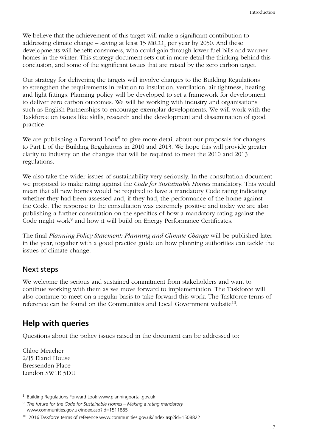We believe that the achievement of this target will make a significant contribution to addressing climate change – saving at least 15 MtCO<sub>2</sub> per year by 2050. And these developments will benefit consumers, who could gain through lower fuel bills and warmer homes in the winter. This strategy document sets out in more detail the thinking behind this conclusion, and some of the significant issues that are raised by the zero carbon target.

Our strategy for delivering the targets will involve changes to the Building Regulations to strengthen the requirements in relation to insulation, ventilation, air tightness, heating and light fittings. Planning policy will be developed to set a framework for development to deliver zero carbon outcomes. We will be working with industry and organisations such as English Partnerships to encourage exemplar developments. We will work with the Taskforce on issues like skills, research and the development and dissemination of good practice.

We are publishing a Forward Look<sup>8</sup> to give more detail about our proposals for changes to Part L of the Building Regulations in 2010 and 2013. We hope this will provide greater clarity to industry on the changes that will be required to meet the 2010 and 2013 regulations.

We also take the wider issues of sustainability very seriously. In the consultation document we proposed to make rating against the *Code for Sustainable Homes* mandatory. This would mean that all new homes would be required to have a mandatory Code rating indicating whether they had been assessed and, if they had, the performance of the home against the Code. The response to the consultation was extremely positive and today we are also publishing a further consultation on the specifics of how a mandatory rating against the Code might work<sup>9</sup> and how it will build on Energy Performance Certificates.

The final *Planning Policy Statement: Planning and Climate Change* will be published later in the year, together with a good practice guide on how planning authorities can tackle the issues of climate change.

#### Next steps

We welcome the serious and sustained commitment from stakeholders and want to continue working with them as we move forward to implementation. The Taskforce will also continue to meet on a regular basis to take forward this work. The Taskforce terms of reference can be found on the Communities and Local Government website<sup>10</sup>.

#### **Help with queries**

Questions about the policy issues raised in the document can be addressed to:

Chloe Meacher 2/J5 Eland House Bressenden Place London SW1E 5DU

<sup>&</sup>lt;sup>8</sup> Building Regulations Forward Look www.planningportal.gov.uk

*The future for the Code for Sustainable Homes – Making a rating mandatory* www.communities.gov.uk/index.asp?id=1511885

<sup>10 2016</sup> Taskforce terms of reference www.communities.gov.uk/index.asp?id=1508822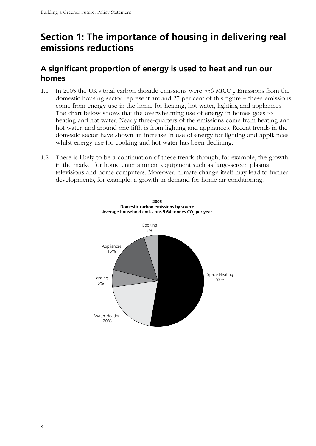### <span id="page-7-0"></span>**Section 1: The importance of housing in delivering real emissions reductions**

### **A significant proportion of energy is used to heat and run our homes**

- 1.1 In 2005 the UK's total carbon dioxide emissions were 556 MtCO<sub>2</sub>. Emissions from the domestic housing sector represent around 27 per cent of this figure – these emissions come from energy use in the home for heating, hot water, lighting and appliances. The chart below shows that the overwhelming use of energy in homes goes to heating and hot water. Nearly three-quarters of the emissions come from heating and hot water, and around one-fifth is from lighting and appliances. Recent trends in the domestic sector have shown an increase in use of energy for lighting and appliances, whilst energy use for cooking and hot water has been declining.
- 1.2 There is likely to be a continuation of these trends through, for example, the growth in the market for home entertainment equipment such as large-screen plasma televisions and home computers. Moreover, climate change itself may lead to further developments, for example, a growth in demand for home air conditioning.

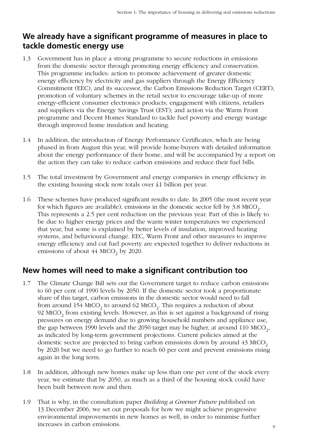### **We already have a significant programme of measures in place to tackle domestic energy use**

- 1.3 Government has in place a strong programme to secure reductions in emissions from the domestic sector through promoting energy efficiency and conservation. This programme includes: action to promote achievement of greater domestic energy efficiency by electricity and gas suppliers through the Energy Efficiency Commitment (EEC), and its successor, the Carbon Emissions Reduction Target (CERT); promotion of voluntary schemes in the retail sector to encourage take-up of more energy-efficient consumer electronics products; engagement with citizens, retailers and suppliers via the Energy Savings Trust (EST); and action via the Warm Front programme and Decent Homes Standard to tackle fuel poverty and energy wastage through improved home insulation and heating.
- 1.4 In addition, the introduction of Energy Performance Certificates, which are being phased in from August this year, will provide home-buyers with detailed information about the energy performance of their home, and will be accompanied by a report on the action they can take to reduce carbon emissions and reduce their fuel bills.
- 1.5 The total investment by Government and energy companies in energy efficiency in the existing housing stock now totals over £1 billion per year.
- 1.6 These schemes have produced significant results to date. In 2005 (the most recent year for which figures are available), emissions in the domestic sector fell by  $3.8$  MtCO<sub>2</sub>. This represents a 2.5 per cent reduction on the previous year. Part of this is likely to be due to higher energy prices and the warm winter temperatures we experienced that year, but some is explained by better levels of insulation, improved heating systems, and behavioural change. EEC, Warm Front and other measures to improve energy efficiency and cut fuel poverty are expected together to deliver reductions in emissions of about  $44$  MtCO<sub>2</sub> by 2020.

### **New homes will need to make a significant contribution too**

- 1.7 The Climate Change Bill sets out the Government target to reduce carbon emissions to 60 per cent of 1990 levels by 2050. If the domestic sector took a proportionate share of this target, carbon emissions in the domestic sector would need to fall from around  $154$  MtCO<sub>2</sub> to around  $62$  MtCO<sub>2</sub>. This requires a reduction of about 92 MtCO<sub>2</sub> from existing levels. However, as this is set against a background of rising pressures on energy demand due to growing household numbers and appliance use, the gap between 1990 levels and the 2050 target may be higher, at around 110 MtCO<sub>2</sub>, as indicated by long-term government projections. Current policies aimed at the domestic sector are projected to bring carbon emissions down by around 43 MtCO<sub>2</sub> by 2020 but we need to go further to reach 60 per cent and prevent emissions rising again in the long term.
- 1.8 In addition, although new homes make up less than one per cent of the stock every year, we estimate that by 2050, as much as a third of the housing stock could have been built between now and then.
- 1.9 That is why, in the consultation paper *Building a Greener Future* published on 13 December 2006, we set out proposals for how we might achieve progressive environmental improvements in new homes as well, in order to minimise further increases in carbon emissions.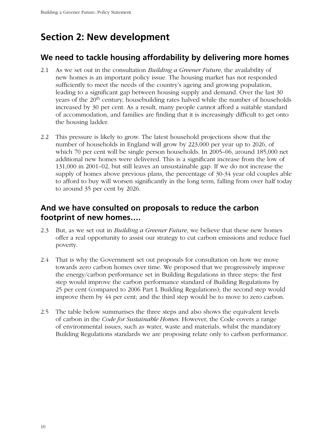### <span id="page-9-0"></span>**Section 2: New development**

### **We need to tackle housing affordability by delivering more homes**

- 2.1 As we set out in the consultation *Building a Greener Future*, the availability of new homes is an important policy issue. The housing market has not responded sufficiently to meet the needs of the country's ageing and growing population, leading to a significant gap between housing supply and demand. Over the last 30 years of the 20<sup>th</sup> century, housebuilding rates halved while the number of households increased by 30 per cent. As a result, many people cannot afford a suitable standard of accommodation, and families are finding that it is increasingly difficult to get onto the housing ladder.
- 2.2 This pressure is likely to grow. The latest household projections show that the number of households in England will grow by 223,000 per year up to 2026, of which 70 per cent will be single person households. In 2005–06, around 185,000 net additional new homes were delivered. This is a significant increase from the low of 131,000 in 2001–02, but still leaves an unsustainable gap. If we do not increase the supply of homes above previous plans, the percentage of 30-34 year old couples able to afford to buy will worsen significantly in the long term, falling from over half today to around 35 per cent by 2026.

### **And we have consulted on proposals to reduce the carbon footprint of new homes….**

- 2.3 But, as we set out in *Building a Greener Future*, we believe that these new homes offer a real opportunity to assist our strategy to cut carbon emissions and reduce fuel poverty.
- 2.4 That is why the Government set out proposals for consultation on how we move towards zero carbon homes over time. We proposed that we progressively improve the energy/carbon performance set in Building Regulations in three steps: the first step would improve the carbon performance standard of Building Regulations by 25 per cent (compared to 2006 Part L Building Regulations); the second step would improve them by 44 per cent; and the third step would be to move to zero carbon.
- 2.5 The table below summarises the three steps and also shows the equivalent levels of carbon in the *Code for Sustainable Homes*. However, the Code covers a range of environmental issues, such as water, waste and materials, whilst the mandatory Building Regulations standards we are proposing relate only to carbon performance.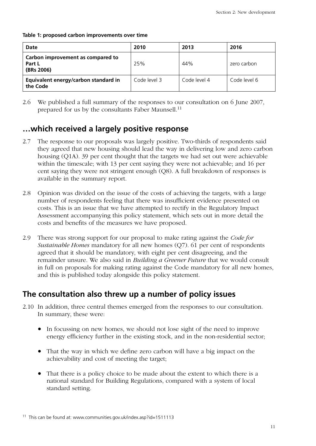**Table 1: proposed carbon improvements over time**

| <b>Date</b>                                               | 2010         | 2013         | 2016         |
|-----------------------------------------------------------|--------------|--------------|--------------|
| Carbon improvement as compared to<br>Part L<br>(BRs 2006) | 25%          | 44%          | zero carbon  |
| Equivalent energy/carbon standard in<br>the Code          | Code level 3 | Code level 4 | Code level 6 |

2.6 We published a full summary of the responses to our consultation on 6 June 2007, prepared for us by the consultants Faber Maunsell.<sup>11</sup>

### **…which received a largely positive response**

- 2.7 The response to our proposals was largely positive. Two-thirds of respondents said they agreed that new housing should lead the way in delivering low and zero carbon housing (Q1A). 39 per cent thought that the targets we had set out were achievable within the timescale; with 13 per cent saying they were not achievable; and 16 per cent saying they were not stringent enough (Q8). A full breakdown of responses is available in the summary report.
- 2.8 Opinion was divided on the issue of the costs of achieving the targets, with a large number of respondents feeling that there was insufficient evidence presented on costs. This is an issue that we have attempted to rectify in the Regulatory Impact Assessment accompanying this policy statement, which sets out in more detail the costs and benefits of the measures we have proposed.
- 2.9 There was strong support for our proposal to make rating against the *Code for Sustainable Homes* mandatory for all new homes (Q7). 61 per cent of respondents agreed that it should be mandatory, with eight per cent disagreeing, and the remainder unsure. We also said in *Building a Greener Future* that we would consult in full on proposals for making rating against the Code mandatory for all new homes, and this is published today alongside this policy statement.

### **The consultation also threw up a number of policy issues**

- 2.10 In addition, three central themes emerged from the responses to our consultation. In summary, these were:
	- In focussing on new homes, we should not lose sight of the need to improve energy efficiency further in the existing stock, and in the non-residential sector;
	- That the way in which we define zero carbon will have a big impact on the achievability and cost of meeting the target;
	- That there is a policy choice to be made about the extent to which there is a national standard for Building Regulations, compared with a system of local standard setting.

<sup>11</sup> This can be found at: www.communities.gov.uk/index.asp?id=1511113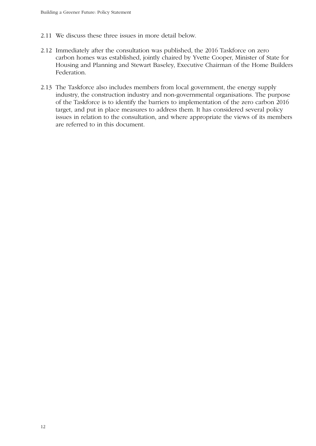- 2.11 We discuss these three issues in more detail below.
- 2.12 Immediately after the consultation was published, the 2016 Taskforce on zero carbon homes was established, jointly chaired by Yvette Cooper, Minister of State for Housing and Planning and Stewart Baseley, Executive Chairman of the Home Builders Federation.
- 2.13 The Taskforce also includes members from local government, the energy supply industry, the construction industry and non-governmental organisations. The purpose of the Taskforce is to identify the barriers to implementation of the zero carbon 2016 target, and put in place measures to address them. It has considered several policy issues in relation to the consultation, and where appropriate the views of its members are referred to in this document.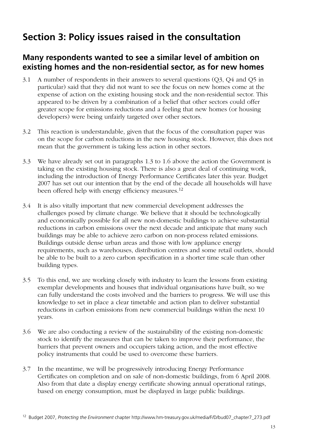### <span id="page-12-0"></span>**Section 3: Policy issues raised in the consultation**

### **Many respondents wanted to see a similar level of ambition on existing homes and the non-residential sector, as for new homes**

- 3.1 A number of respondents in their answers to several questions (Q3, Q4 and Q5 in particular) said that they did not want to see the focus on new homes come at the expense of action on the existing housing stock and the non-residential sector. This appeared to be driven by a combination of a belief that other sectors could offer greater scope for emissions reductions and a feeling that new homes (or housing developers) were being unfairly targeted over other sectors.
- 3.2 This reaction is understandable, given that the focus of the consultation paper was on the scope for carbon reductions in the new housing stock. However, this does not mean that the government is taking less action in other sectors.
- 3.3 We have already set out in paragraphs 1.3 to 1.6 above the action the Government is taking on the existing housing stock. There is also a great deal of continuing work, including the introduction of Energy Performance Certificates later this year. Budget 2007 has set out our intention that by the end of the decade all households will have been offered help with energy efficiency measures.<sup>12</sup>
- 3.4 It is also vitally important that new commercial development addresses the challenges posed by climate change. We believe that it should be technologically and economically possible for all new non-domestic buildings to achieve substantial reductions in carbon emissions over the next decade and anticipate that many such buildings may be able to achieve zero carbon on non-process related emissions. Buildings outside dense urban areas and those with low appliance energy requirements, such as warehouses, distribution centres and some retail outlets, should be able to be built to a zero carbon specification in a shorter time scale than other building types.
- 3.5 To this end, we are working closely with industry to learn the lessons from existing exemplar developments and houses that individual organisations have built, so we can fully understand the costs involved and the barriers to progress. We will use this knowledge to set in place a clear timetable and action plan to deliver substantial reductions in carbon emissions from new commercial buildings within the next 10 years.
- 3.6 We are also conducting a review of the sustainability of the existing non-domestic stock to identify the measures that can be taken to improve their performance, the barriers that prevent owners and occupiers taking action, and the most effective policy instruments that could be used to overcome these barriers.
- 3.7 In the meantime, we will be progressively introducing Energy Performance Certificates on completion and on sale of non-domestic buildings, from 6 April 2008. Also from that date a display energy certificate showing annual operational ratings, based on energy consumption, must be displayed in large public buildings.

<sup>12</sup> Budget 2007, *Protecting the Environment* chapter http://www.hm-treasury.gov.uk/media/F/D/bud07\_chapter7\_273.pdf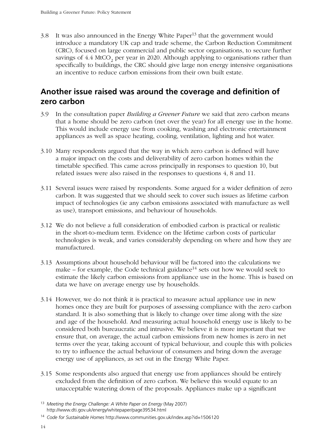$3.8$  It was also announced in the Energy White Paper<sup>13</sup> that the government would introduce a mandatory UK cap and trade scheme, the Carbon Reduction Commitment (CRC), focused on large commercial and public sector organisations, to secure further savings of  $4.4$  MtCO<sub>2</sub> per year in 2020. Although applying to organisations rather than specifically to buildings, the CRC should give large non energy intensive organisations an incentive to reduce carbon emissions from their own built estate.

### **Another issue raised was around the coverage and definition of zero carbon**

- 3.9 In the consultation paper *Building a Greener Future* we said that zero carbon means that a home should be zero carbon (net over the year) for all energy use in the home. This would include energy use from cooking, washing and electronic entertainment appliances as well as space heating, cooling, ventilation, lighting and hot water.
- 3.10 Many respondents argued that the way in which zero carbon is defined will have a major impact on the costs and deliverability of zero carbon homes within the timetable specified. This came across principally in responses to question 10, but related issues were also raised in the responses to questions 4, 8 and 11.
- 3.11 Several issues were raised by respondents. Some argued for a wider definition of zero carbon. It was suggested that we should seek to cover such issues as lifetime carbon impact of technologies (ie any carbon emissions associated with manufacture as well as use), transport emissions, and behaviour of households.
- 3.12 We do not believe a full consideration of embodied carbon is practical or realistic in the short-to-medium term. Evidence on the lifetime carbon costs of particular technologies is weak, and varies considerably depending on where and how they are manufactured.
- 3.13 Assumptions about household behaviour will be factored into the calculations we make – for example, the Code technical guidance<sup>14</sup> sets out how we would seek to estimate the likely carbon emissions from appliance use in the home. This is based on data we have on average energy use by households.
- 3.14 However, we do not think it is practical to measure actual appliance use in new homes once they are built for purposes of assessing compliance with the zero carbon standard. It is also something that is likely to change over time along with the size and age of the household. And measuring actual household energy use is likely to be considered both bureaucratic and intrusive. We believe it is more important that we ensure that, on average, the actual carbon emissions from new homes is zero in net terms over the year, taking account of typical behaviour, and couple this with policies to try to influence the actual behaviour of consumers and bring down the average energy use of appliances, as set out in the Energy White Paper.
- 3.15 Some respondents also argued that energy use from appliances should be entirely excluded from the definition of zero carbon. We believe this would equate to an unacceptable watering down of the proposals. Appliances make up a significant

<sup>13</sup> *Meeting the Energy Challenge: A White Paper on Energy* (May 2007) http://www.dti.gov.uk/energy/whitepaper/page39534.html

<sup>14</sup> *Code for Sustainable Homes* http://www.communities.gov.uk/index.asp?id=1506120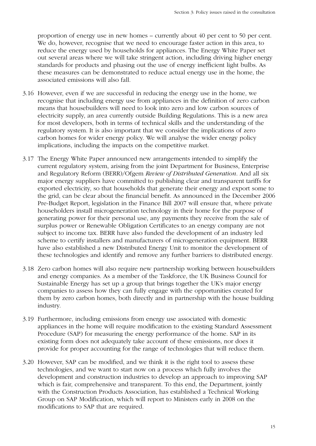proportion of energy use in new homes – currently about 40 per cent to 50 per cent. We do, however, recognise that we need to encourage faster action in this area, to reduce the energy used by households for appliances. The Energy White Paper set out several areas where we will take stringent action, including driving higher energy standards for products and phasing out the use of energy inefficient light bulbs. As these measures can be demonstrated to reduce actual energy use in the home, the associated emissions will also fall.

- 3.16 However, even if we are successful in reducing the energy use in the home, we recognise that including energy use from appliances in the definition of zero carbon means that housebuilders will need to look into zero and low carbon sources of electricity supply, an area currently outside Building Regulations. This is a new area for most developers, both in terms of technical skills and the understanding of the regulatory system. It is also important that we consider the implications of zero carbon homes for wider energy policy. We will analyse the wider energy policy implications, including the impacts on the competitive market.
- 3.17 The Energy White Paper announced new arrangements intended to simplify the current regulatory system, arising from the joint Department for Business, Enterprise and Regulatory Reform (BERR)/Ofgem *Review of Distributed Generation*. And all six major energy suppliers have committed to publishing clear and transparent tariffs for exported electricity, so that households that generate their energy and export some to the grid, can be clear about the financial benefit. As announced in the December 2006 Pre-Budget Report, legislation in the Finance Bill 2007 will ensure that, where private householders install microgeneration technology in their home for the purpose of generating power for their personal use, any payments they receive from the sale of surplus power or Renewable Obligation Certificates to an energy company are not subject to income tax. BERR have also funded the development of an industry led scheme to certify installers and manufacturers of microgeneration equipment. BERR have also established a new Distributed Energy Unit to monitor the development of these technologies and identify and remove any further barriers to distributed energy.
- 3.18 Zero carbon homes will also require new partnership working between housebuilders and energy companies. As a member of the Taskforce, the UK Business Council for Sustainable Energy has set up a group that brings together the UK's major energy companies to assess how they can fully engage with the opportunities created for them by zero carbon homes, both directly and in partnership with the house building industry.
- 3.19 Furthermore, including emissions from energy use associated with domestic appliances in the home will require modification to the existing Standard Assessment Procedure (SAP) for measuring the energy performance of the home. SAP in its existing form does not adequately take account of these emissions, nor does it provide for proper accounting for the range of technologies that will reduce them.
- 3.20 However, SAP can be modified, and we think it is the right tool to assess these technologies, and we want to start now on a process which fully involves the development and construction industries to develop an approach to improving SAP which is fair, comprehensive and transparent. To this end, the Department, jointly with the Construction Products Association, has established a Technical Working Group on SAP Modification, which will report to Ministers early in 2008 on the modifications to SAP that are required.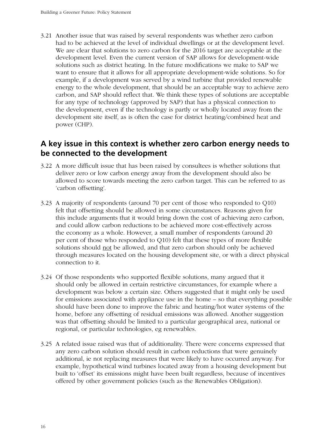3.21 Another issue that was raised by several respondents was whether zero carbon had to be achieved at the level of individual dwellings or at the development level. We are clear that solutions to zero carbon for the 2016 target are acceptable at the development level. Even the current version of SAP allows for development-wide solutions such as district heating. In the future modifications we make to SAP we want to ensure that it allows for all appropriate development-wide solutions. So for example, if a development was served by a wind turbine that provided renewable energy to the whole development, that should be an acceptable way to achieve zero carbon, and SAP should reflect that. We think these types of solutions are acceptable for any type of technology (approved by SAP) that has a physical connection to the development, even if the technology is partly or wholly located away from the development site itself, as is often the case for district heating/combined heat and power (CHP).

### **A key issue in this context is whether zero carbon energy needs to be connected to the development**

- 3.22 A more difficult issue that has been raised by consultees is whether solutions that deliver zero or low carbon energy away from the development should also be allowed to score towards meeting the zero carbon target. This can be referred to as 'carbon offsetting'.
- 3.23 A majority of respondents (around 70 per cent of those who responded to Q10) felt that offsetting should be allowed in some circumstances. Reasons given for this include arguments that it would bring down the cost of achieving zero carbon, and could allow carbon reductions to be achieved more cost-effectively across the economy as a whole. However, a small number of respondents (around 20 per cent of those who responded to Q10) felt that these types of more flexible solutions should not be allowed, and that zero carbon should only be achieved through measures located on the housing development site, or with a direct physical connection to it.
- 3.24 Of those respondents who supported flexible solutions, many argued that it should only be allowed in certain restrictive circumstances, for example where a development was below a certain size. Others suggested that it might only be used for emissions associated with appliance use in the home – so that everything possible should have been done to improve the fabric and heating/hot water systems of the home, before any offsetting of residual emissions was allowed. Another suggestion was that offsetting should be limited to a particular geographical area, national or regional, or particular technologies, eg renewables.
- 3.25 A related issue raised was that of additionality. There were concerns expressed that any zero carbon solution should result in carbon reductions that were genuinely additional, ie not replacing measures that were likely to have occurred anyway. For example, hypothetical wind turbines located away from a housing development but built to 'offset' its emissions might have been built regardless, because of incentives offered by other government policies (such as the Renewables Obligation).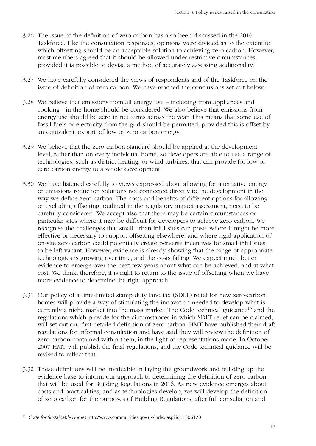- 3.26 The issue of the definition of zero carbon has also been discussed in the 2016 Taskforce. Like the consultation responses, opinions were divided as to the extent to which offsetting should be an acceptable solution to achieving zero carbon. However, most members agreed that it should be allowed under restrictive circumstances, provided it is possible to devise a method of accurately assessing additionality.
- 3.27 We have carefully considered the views of respondents and of the Taskforce on the issue of definition of zero carbon. We have reached the conclusions set out below:
- 3.28 We believe that emissions from all energy use including from appliances and cooking - in the home should be considered. We also believe that emissions from energy use should be zero in net terms across the year. This means that some use of fossil fuels or electricity from the grid should be permitted, provided this is offset by an equivalent 'export' of low or zero carbon energy.
- 3.29 We believe that the zero carbon standard should be applied at the development level, rather than on every individual home, so developers are able to use a range of technologies, such as district heating, or wind turbines, that can provide for low or zero carbon energy to a whole development.
- 3.30 We have listened carefully to views expressed about allowing for alternative energy or emissions reduction solutions not connected directly to the development in the way we define zero carbon. The costs and benefits of different options for allowing or excluding offsetting, outlined in the regulatory impact assessment, need to be carefully considered. We accept also that there may be certain circumstances or particular sites where it may be difficult for developers to achieve zero carbon. We recognise the challenges that small urban infill sites can pose, where it might be more effective or necessary to support offsetting elsewhere, and where rigid application of on-site zero carbon could potentially create perverse incentives for small infill sites to be left vacant. However, evidence is already showing that the range of appropriate technologies is growing over time, and the costs falling. We expect much better evidence to emerge over the next few years about what can be achieved, and at what cost. We think, therefore, it is right to return to the issue of offsetting when we have more evidence to determine the right approach.
- 3.31 Our policy of a time-limited stamp duty land tax (SDLT) relief for new zero-carbon homes will provide a way of stimulating the innovation needed to develop what is currently a niche market into the mass market. The Code technical guidance<sup>15</sup> and the regulations which provide for the circumstances in which SDLT relief can be claimed, will set out our first detailed definition of zero carbon. HMT have published their draft regulations for informal consultation and have said they will review the definition of zero carbon contained within them, in the light of representations made. In October 2007 HMT will publish the final regulations, and the Code technical guidance will be revised to reflect that.
- 3.32 These definitions will be invaluable in laying the groundwork and building up the evidence base to inform our approach to determining the definition of zero carbon that will be used for Building Regulations in 2016. As new evidence emerges about costs and practicalities, and as technologies develop, we will develop the definition of zero carbon for the purposes of Building Regulations, after full consultation and

<sup>15</sup> *Code for Sustainable Homes* http://www.communities.gov.uk/index.asp?id=1506120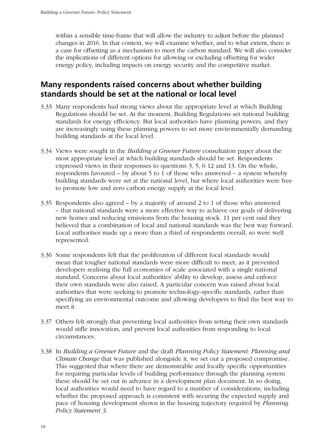within a sensible time-frame that will allow the industry to adjust before the planned changes in 2016. In that context, we will examine whether, and to what extent, there is a case for offsetting as a mechanism to meet the carbon standard. We will also consider the implications of different options for allowing or excluding offsetting for wider energy policy, including impacts on energy security and the competitive market.

### **Many respondents raised concerns about whether building standards should be set at the national or local level**

- 3.33 Many respondents had strong views about the appropriate level at which Building Regulations should be set. At the moment, Building Regulations set national building standards for energy efficiency. But local authorities have planning powers, and they are increasingly using these planning powers to set more environmentally demanding building standards at the local level.
- 3.34 Views were sought in the *Building a Greener Future* consultation paper about the most appropriate level at which building standards should be set. Respondents expressed views in their responses to questions 3, 5, 6 12 and 13. On the whole, respondents favoured – by about 5 to 1 of those who answered – a system whereby building standards were set at the national level, but where local authorities were free to promote low and zero carbon energy supply at the local level.
- 3.35 Respondents also agreed by a majority of around 2 to 1 of those who answered – that national standards were a more effective way to achieve our goals of delivering new homes and reducing emissions from the housing stock. 11 per cent said they believed that a combination of local and national standards was the best way forward. Local authorities made up a more than a third of respondents overall, so were well represented.
- 3.36 Some respondents felt that the proliferation of different local standards would mean that tougher national standards were more difficult to meet, as it prevented developers realising the full economies of scale associated with a single national standard. Concerns about local authorities' ability to develop, assess and enforce their own standards were also raised. A particular concern was raised about local authorities that were seeking to promote technology-specific standards, rather than specifying an environmental outcome and allowing developers to find the best way to meet it.
- 3.37 Others felt strongly that preventing local authorities from setting their own standards would stifle innovation, and prevent local authorities from responding to local circumstances.
- 3.38 In *Building a Greener Future* and the draft *Planning Policy Statement: Planning and Climate Change* that was published alongside it, we set out a proposed compromise. This suggested that where there are demonstrable and locally specific opportunities for requiring particular levels of building performance through the planning system these should be set out in advance in a development plan document. In so doing, local authorities would need to have regard to a number of considerations, including whether the proposed approach is consistent with securing the expected supply and pace of housing development shown in the housing trajectory required by *Planning Policy Statement 3*.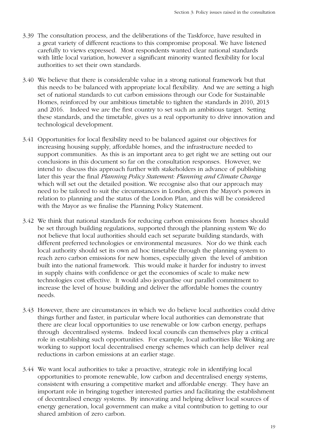- 3.39 The consultation process, and the deliberations of the Taskforce, have resulted in a great variety of different reactions to this compromise proposal. We have listened carefully to views expressed. Most respondents wanted clear national standards with little local variation, however a significant minority wanted flexibility for local authorities to set their own standards.
- 3.40 We believe that there is considerable value in a strong national framework but that this needs to be balanced with appropriate local flexibility. And we are setting a high set of national standards to cut carbon emissions through our Code for Sustainable Homes, reinforced by our ambitious timetable to tighten the standards in 2010, 2013 and 2016. Indeed we are the first country to set such an ambitious target. Setting these standards, and the timetable, gives us a real opportunity to drive innovation and technological development.
- 3.41 Opportunities for local flexibility need to be balanced against our objectives for increasing housing supply, affordable homes, and the infrastructure needed to support communities. As this is an important area to get right we are setting out our conclusions in this document so far on the consultation responses. However, we intend to discuss this approach further with stakeholders in advance of publishing later this year the final *Planning Policy Statement: Planning and Climate Change* which will set out the detailed position. We recognise also that our approach may need to be tailored to suit the circumstances in London, given the Mayor's powers in relation to planning and the status of the London Plan, and this will be considered with the Mayor as we finalise the Planning Policy Statement.
- 3.42 We think that national standards for reducing carbon emissions from homes should be set through building regulations, supported through the planning system We do not believe that local authorities should each set separate building standards, with different preferred technologies or environmental measures. Nor do we think each local authority should set its own ad hoc timetable through the planning system to reach zero carbon emissions for new homes, especially given the level of ambition built into the national framework. This would make it harder for industry to invest in supply chains with confidence or get the economies of scale to make new technologies cost effective. It would also jeopardise our parallel commitment to increase the level of house building and deliver the affordable homes the country needs.
- 3.43 However, there are circumstances in which we do believe local authorities could drive things further and faster, in particular where local authorities can demonstrate that there are clear local opportunities to use renewable or low carbon energy, perhaps through decentralised systems. Indeed local councils can themselves play a critical role in establishing such opportunities. For example, local authorities like Woking are working to support local decentralised energy schemes which can help deliver real reductions in carbon emissions at an earlier stage.
- 3.44 We want local authorities to take a proactive, strategic role in identifying local opportunities to promote renewable, low carbon and decentralised energy systems, consistent with ensuring a competitive market and affordable energy. They have an important role in bringing together interested parties and facilitating the establishment of decentralised energy systems. By innovating and helping deliver local sources of energy generation, local government can make a vital contribution to getting to our shared ambition of zero carbon.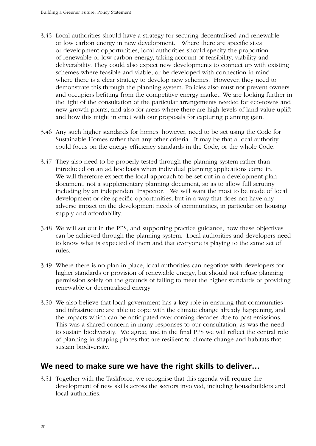- 3.45 Local authorities should have a strategy for securing decentralised and renewable or low carbon energy in new development. Where there are specific sites or development opportunities, local authorities should specify the proportion of renewable or low carbon energy, taking account of feasibility, viability and deliverability. They could also expect new developments to connect up with existing schemes where feasible and viable, or be developed with connection in mind where there is a clear strategy to develop new schemes. However, they need to demonstrate this through the planning system. Policies also must not prevent owners and occupiers befitting from the competitive energy market. We are looking further in the light of the consultation of the particular arrangements needed for eco-towns and new growth points, and also for areas where there are high levels of land value uplift and how this might interact with our proposals for capturing planning gain.
- 3.46 Any such higher standards for homes, however, need to be set using the Code for Sustainable Homes rather than any other criteria. It may be that a local authority could focus on the energy efficiency standards in the Code, or the whole Code.
- 3.47 They also need to be properly tested through the planning system rather than introduced on an ad hoc basis when individual planning applications come in. We will therefore expect the local approach to be set out in a development plan document, not a supplementary planning document, so as to allow full scrutiny including by an independent Inspector. We will want the most to be made of local development or site specific opportunities, but in a way that does not have any adverse impact on the development needs of communities, in particular on housing supply and affordability.
- 3.48 We will set out in the PPS, and supporting practice guidance, how these objectives can be achieved through the planning system. Local authorities and developers need to know what is expected of them and that everyone is playing to the same set of rules.
- 3.49 Where there is no plan in place, local authorities can negotiate with developers for higher standards or provision of renewable energy, but should not refuse planning permission solely on the grounds of failing to meet the higher standards or providing renewable or decentralised energy.
- 3.50 We also believe that local government has a key role in ensuring that communities and infrastructure are able to cope with the climate change already happening, and the impacts which can be anticipated over coming decades due to past emissions. This was a shared concern in many responses to our consultation, as was the need to sustain biodiversity. We agree, and in the final PPS we will reflect the central role of planning in shaping places that are resilient to climate change and habitats that sustain biodiversity.

#### **We need to make sure we have the right skills to deliver…**

3.51 Together with the Taskforce, we recognise that this agenda will require the development of new skills across the sectors involved, including housebuilders and local authorities.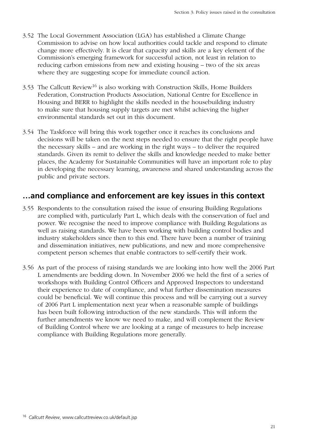- 3.52 The Local Government Association (LGA) has established a Climate Change Commission to advise on how local authorities could tackle and respond to climate change more effectively. It is clear that capacity and skills are a key element of the Commission's emerging framework for successful action, not least in relation to reducing carbon emissions from new and existing housing – two of the six areas where they are suggesting scope for immediate council action.
- 3.53 The Callcutt Review<sup>16</sup> is also working with Construction Skills, Home Builders Federation, Construction Products Association, National Centre for Excellence in Housing and BERR to highlight the skills needed in the housebuilding industry to make sure that housing supply targets are met whilst achieving the higher environmental standards set out in this document.
- 3.54 The Taskforce will bring this work together once it reaches its conclusions and decisions will be taken on the next steps needed to ensure that the right people have the necessary skills – and are working in the right ways – to deliver the required standards. Given its remit to deliver the skills and knowledge needed to make better places, the Academy for Sustainable Communities will have an important role to play in developing the necessary learning, awareness and shared understanding across the public and private sectors.

### **…and compliance and enforcement are key issues in this context**

- 3.55 Respondents to the consultation raised the issue of ensuring Building Regulations are complied with, particularly Part L, which deals with the conservation of fuel and power. We recognise the need to improve compliance with Building Regulations as well as raising standards. We have been working with building control bodies and industry stakeholders since then to this end. There have been a number of training and dissemination initiatives, new publications, and new and more comprehensive competent person schemes that enable contractors to self-certify their work.
- 3.56 As part of the process of raising standards we are looking into how well the 2006 Part L amendments are bedding down. In November 2006 we held the first of a series of workshops with Building Control Officers and Approved Inspectors to understand their experience to date of compliance, and what further dissemination measures could be beneficial. We will continue this process and will be carrying out a survey of 2006 Part L implementation next year when a reasonable sample of buildings has been built following introduction of the new standards. This will inform the further amendments we know we need to make, and will complement the Review of Building Control where we are looking at a range of measures to help increase compliance with Building Regulations more generally.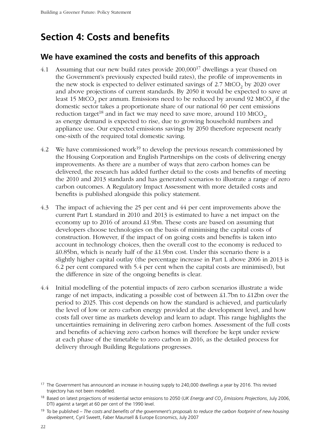### <span id="page-21-0"></span>**Section 4: Costs and benefits**

#### **We have examined the costs and benefits of this approach**

- 4.1 Assuming that our new build rates provide 200,00017 dwellings a year (based on the Government's previously expected build rates), the profile of improvements in the new stock is expected to deliver estimated savings of  $2.7 \text{ MtCO}_2$  by 2020 over and above projections of current standards. By 2050 it would be expected to save at least 15 MtCO<sub>2</sub> per annum. Emissions need to be reduced by around 92 MtCO<sub>2</sub> if the domestic sector takes a proportionate share of our national 60 per cent emissions reduction target<sup>18</sup> and in fact we may need to save more, around 110 MtCO<sub>2</sub>, as energy demand is expected to rise, due to growing household numbers and appliance use. Our expected emissions savings by 2050 therefore represent nearly one-sixth of the required total domestic saving.
- 4.2 We have commissioned work<sup>19</sup> to develop the previous research commissioned by the Housing Corporation and English Partnerships on the costs of delivering energy improvements. As there are a number of ways that zero carbon homes can be delivered, the research has added further detail to the costs and benefits of meeting the 2010 and 2013 standards and has generated scenarios to illustrate a range of zero carbon outcomes. A Regulatory Impact Assessment with more detailed costs and benefits is published alongside this policy statement.
- 4.3 The impact of achieving the 25 per cent and 44 per cent improvements above the current Part L standard in 2010 and 2013 is estimated to have a net impact on the economy up to 2016 of around £1.9bn. These costs are based on assuming that developers choose technologies on the basis of minimising the capital costs of construction. However, if the impact of on going costs and benefits is taken into account in technology choices, then the overall cost to the economy is reduced to £0.85bn, which is nearly half of the £1.9bn cost. Under this scenario there is a slightly higher capital outlay (the percentage increase in Part L above 2006 in 2013 is 6.2 per cent compared with 5.4 per cent when the capital costs are minimised), but the difference in size of the ongoing benefits is clear.
- 4.4 Initial modelling of the potential impacts of zero carbon scenarios illustrate a wide range of net impacts, indicating a possible cost of between £1.7bn to £12bn over the period to 2025. This cost depends on how the standard is achieved, and particularly the level of low or zero carbon energy provided at the development level, and how costs fall over time as markets develop and learn to adapt. This range highlights the uncertainties remaining in delivering zero carbon homes. Assessment of the full costs and benefits of achieving zero carbon homes will therefore be kept under review at each phase of the timetable to zero carbon in 2016, as the detailed process for delivery through Building Regulations progresses.

<sup>&</sup>lt;sup>17</sup> The Government has announced an increase in housing supply to 240,000 dwellings a year by 2016. This revised trajectory has not been modelled.

<sup>&</sup>lt;sup>18</sup> Based on latest projections of residential sector emissions to 2050 (UK Energy and CO<sub>2</sub> Emissions Projections, July 2006, DTI) against a target at 60 per cent of the 1990 level.

<sup>19</sup> To be published – *The costs and benefits of the government's proposals to reduce the carbon footprint of new housing development*, Cyril Sweett, Faber Maunsell & Europe Economics, July 2007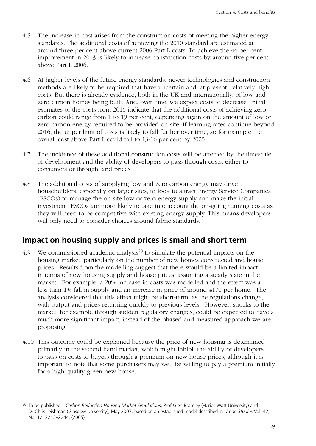- 4.5 The increase in cost arises from the construction costs of meeting the higher energy standards. The additional costs of achieving the 2010 standard are estimated at around three per cent above current 2006 Part L costs. To achieve the 44 per cent improvement in 2013 is likely to increase construction costs by around five per cent above Part L 2006.
- 4.6 At higher levels of the future energy standards, newer technologies and construction methods are likely to be required that have uncertain and, at present, relatively high costs. But there is already evidence, both in the UK and internationally, of low and zero carbon homes being built. And, over time, we expect costs to decrease. Initial estimates of the costs from 2016 indicate that the additional costs of achieving zero carbon could range from 1 to 19 per cent, depending again on the amount of low or zero carbon energy required to be provided on-site. If learning rates continue beyond 2016, the upper limit of costs is likely to fall further over time, so for example the overall cost above Part L could fall to 13-16 per cent by 2025.
- 4.7 The incidence of these additional construction costs will be affected by the timescale of development and the ability of developers to pass through costs, either to consumers or through land prices.
- 4.8 The additional costs of supplying low and zero carbon energy may drive housebuilders, especially on larger sites, to look to attract Energy Service Companies (ESCOs) to manage the on-site low or zero energy supply and make the initial investment. ESCOs are more likely to take into account the on-going running costs as they will need to be competitive with existing energy supply. This means developers will only need to consider choices around fabric standards.

### **Impact on housing supply and prices is small and short term**

- 4.9 We commissioned academic analysis<sup>20</sup> to simulate the potential impacts on the housing market, particularly on the number of new homes constructed and house prices. Results from the modelling suggest that there would be a limited impact in terms of new housing supply and house prices, assuming a steady state in the market. For example, a 20% increase in costs was modelled and the effect was a less than 1% fall in supply and an increase in price of around £170 per home. The analysis considered that this effect might be short-term, as the regulations change, with output and prices returning quickly to previous levels. However, shocks to the market, for example through sudden regulatory changes, could be expected to have a much more significant impact, instead of the phased and measured approach we are proposing.
- 4.10 This outcome could be explained because the price of new housing is determined primarily in the second hand market, which might inhibit the ability of developers to pass on costs to buyers through a premium on new house prices, although it is important to note that some purchasers may well be willing to pay a premium initially for a high quality green new house.

<sup>20</sup> To be published – *Carbon Reduction Housing Market Simulations*, Prof Glen Bramley (Heriot-Watt University) and Dr Chris Leishman (Glasgow University), May 2007, based on an established model described in *Urban Studies* Vol. 42, No. 12, 2213–2244, (2005)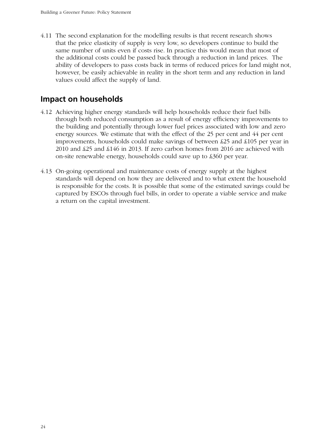4.11 The second explanation for the modelling results is that recent research shows that the price elasticity of supply is very low, so developers continue to build the same number of units even if costs rise. In practice this would mean that most of the additional costs could be passed back through a reduction in land prices. The ability of developers to pass costs back in terms of reduced prices for land might not, however, be easily achievable in reality in the short term and any reduction in land values could affect the supply of land.

### **Impact on households**

- 4.12 Achieving higher energy standards will help households reduce their fuel bills through both reduced consumption as a result of energy efficiency improvements to the building and potentially through lower fuel prices associated with low and zero energy sources. We estimate that with the effect of the 25 per cent and 44 per cent improvements, households could make savings of between £25 and £105 per year in 2010 and £25 and £146 in 2013. If zero carbon homes from 2016 are achieved with on-site renewable energy, households could save up to £360 per year.
- 4.13 On-going operational and maintenance costs of energy supply at the highest standards will depend on how they are delivered and to what extent the household is responsible for the costs. It is possible that some of the estimated savings could be captured by ESCOs through fuel bills, in order to operate a viable service and make a return on the capital investment.